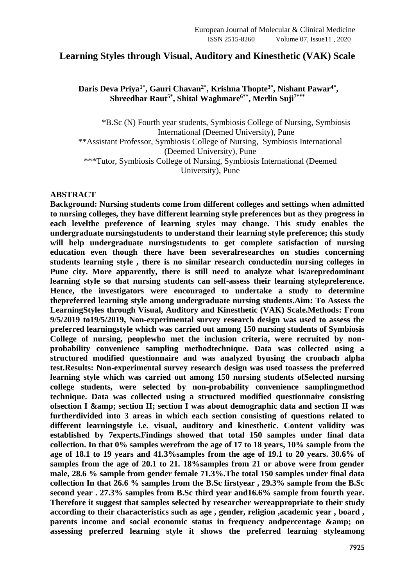## **Learning Styles through Visual, Auditory and Kinesthetic (VAK) Scale**

## **Daris Deva Priya1\* , Gauri Chavan2\* , Krishna Thopte3\* , Nishant Pawar4\* , Shreedhar Raut5\* , Shital Waghmare6\*\*, Merlin Suji7\*\*\***

\*B.Sc (N) Fourth year students, Symbiosis College of Nursing, Symbiosis International (Deemed University), Pune \*\*Assistant Professor, Symbiosis College of Nursing, Symbiosis International (Deemed University), Pune \*\*\*Tutor, Symbiosis College of Nursing, Symbiosis International (Deemed University), Pune

## **ABSTRACT**

**Background: Nursing students come from different colleges and settings when admitted to nursing colleges, they have different learning style preferences but as they progress in each levelthe preference of learning styles may change. This study enables the undergraduate nursingstudents to understand their learning style preference; this study will help undergraduate nursingstudents to get complete satisfaction of nursing education even though there have been severalresearches on studies concerning students learning style , there is no similar research conductedin nursing colleges in Pune city. More apparently, there is still need to analyze what is/arepredominant learning style so that nursing students can self-assess their learning stylepreference. Hence, the investigators were encouraged to undertake a study to determine thepreferred learning style among undergraduate nursing students.Aim: To Assess the LearningStyles through Visual, Auditory and Kinesthetic (VAK) Scale.Methods: From 9/5/2019 to19/5/2019, Non-experimental survey research design was used to assess the preferred learningstyle which was carried out among 150 nursing students of Symbiosis College of nursing, peoplewho met the inclusion criteria, were recruited by nonprobability convenience sampling methodtechnique. Data was collected using a structured modified questionnaire and was analyzed byusing the cronbach alpha test.Results: Non-experimental survey research design was used toassess the preferred learning style which was carried out among 150 nursing students ofSelected nursing college students, were selected by non-probability convenience samplingmethod technique. Data was collected using a structured modified questionnaire consisting ofsection I & section II; section I was about demographic data and section II was furtherdivided into 3 areas in which each section consisting of questions related to different learningstyle i.e. visual, auditory and kinesthetic. Content validity was established by 7experts.Findings showed that total 150 samples under final data collection. In that 0% samples werefrom the age of 17 to 18 years, 10% sample from the age of 18.1 to 19 years and 41.3%samples from the age of 19.1 to 20 years. 30.6% of samples from the age of 20.1 to 21. 18%samples from 21 or above were from gender male, 28.6 % sample from gender female 71.3%.The total 150 samples under final data collection In that 26.6 % samples from the B.Sc firstyear , 29.3% sample from the B.Sc second year . 27.3% samples from B.Sc third year and16.6% sample from fourth year. Therefore it suggest that samples selected by researcher wereappropriate to their study according to their characteristics such as age , gender, religion ,academic year , board ,**  parents income and social economic status in frequency andpercentage & amp; on **assessing preferred learning style it shows the preferred learning styleamong**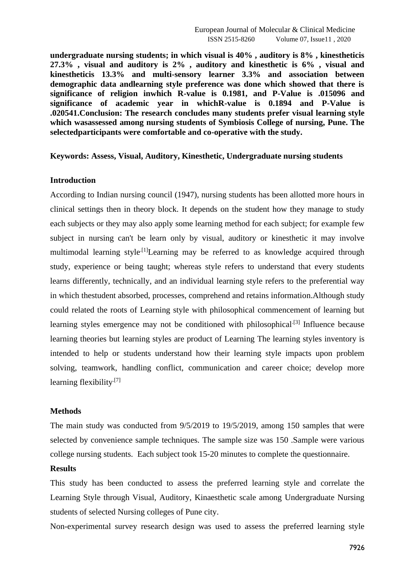**undergraduate nursing students; in which visual is 40% , auditory is 8% , kinestheticis 27.3% , visual and auditory is 2% , auditory and kinesthetic is 6% , visual and kinestheticis 13.3% and multi-sensory learner 3.3% and association between demographic data andlearning style preference was done which showed that there is significance of religion inwhich R-value is 0.1981, and P-Value is .015096 and significance of academic year in whichR-value is 0.1894 and P-Value is .020541.Conclusion: The research concludes many students prefer visual learning style which wasassessed among nursing students of Symbiosis College of nursing, Pune. The selectedparticipants were comfortable and co-operative with the study.**

### **Keywords: Assess, Visual, Auditory, Kinesthetic, Undergraduate nursing students**

### **Introduction**

According to Indian nursing council (1947), nursing students has been allotted more hours in clinical settings then in theory block. It depends on the student how they manage to study each subjects or they may also apply some learning method for each subject; for example few subject in nursing can't be learn only by visual, auditory or kinesthetic it may involve multimodal learning style.<sup>[1]</sup>Learning may be referred to as knowledge acquired through study, experience or being taught; whereas style refers to understand that every students learns differently, technically, and an individual learning style refers to the preferential way in which thestudent absorbed, processes, comprehend and retains information.Although study could related the roots of Learning style with philosophical commencement of learning but learning styles emergence may not be conditioned with philosophical.<sup>[3]</sup> Influence because learning theories but learning styles are product of Learning The learning styles inventory is intended to help or students understand how their learning style impacts upon problem solving, teamwork, handling conflict, communication and career choice; develop more learning flexibility<sup>[7]</sup>

### **Methods**

The main study was conducted from 9/5/2019 to 19/5/2019, among 150 samples that were selected by convenience sample techniques. The sample size was 150 .Sample were various college nursing students. Each subject took 15-20 minutes to complete the questionnaire.

#### **Results**

This study has been conducted to assess the preferred learning style and correlate the Learning Style through Visual, Auditory, Kinaesthetic scale among Undergraduate Nursing students of selected Nursing colleges of Pune city.

Non-experimental survey research design was used to assess the preferred learning style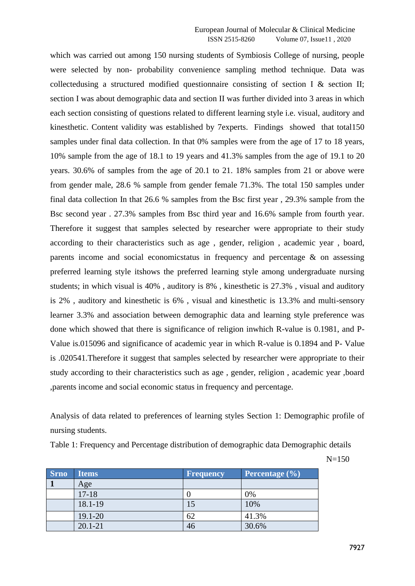which was carried out among 150 nursing students of Symbiosis College of nursing, people were selected by non- probability convenience sampling method technique. Data was collectedusing a structured modified questionnaire consisting of section I & section II; section I was about demographic data and section II was further divided into 3 areas in which each section consisting of questions related to different learning style i.e. visual, auditory and kinesthetic. Content validity was established by 7experts. Findings showed that total150 samples under final data collection. In that 0% samples were from the age of 17 to 18 years, 10% sample from the age of 18.1 to 19 years and 41.3% samples from the age of 19.1 to 20 years. 30.6% of samples from the age of 20.1 to 21. 18% samples from 21 or above were from gender male, 28.6 % sample from gender female 71.3%. The total 150 samples under final data collection In that 26.6 % samples from the Bsc first year , 29.3% sample from the Bsc second year . 27.3% samples from Bsc third year and 16.6% sample from fourth year. Therefore it suggest that samples selected by researcher were appropriate to their study according to their characteristics such as age , gender, religion , academic year , board, parents income and social economicstatus in frequency and percentage & on assessing preferred learning style itshows the preferred learning style among undergraduate nursing students; in which visual is 40% , auditory is 8% , kinesthetic is 27.3% , visual and auditory is 2% , auditory and kinesthetic is 6% , visual and kinesthetic is 13.3% and multi-sensory learner 3.3% and association between demographic data and learning style preference was done which showed that there is significance of religion inwhich R-value is 0.1981, and P-Value is.015096 and significance of academic year in which R-value is 0.1894 and P- Value is .020541.Therefore it suggest that samples selected by researcher were appropriate to their study according to their characteristics such as age , gender, religion , academic year ,board ,parents income and social economic status in frequency and percentage.

Analysis of data related to preferences of learning styles Section 1: Demographic profile of nursing students.

Table 1: Frequency and Percentage distribution of demographic data Demographic details

 $N=150$ 

| <b>Srno</b> | Items       | Frequency | Percentage $(\% )$ |
|-------------|-------------|-----------|--------------------|
|             | Age         |           |                    |
|             | $17-18$     |           | 0%                 |
|             | 18.1-19     |           | 10%                |
|             | 19.1-20     | 62        | 41.3%              |
|             | $20.1 - 21$ | 46        | 30.6%              |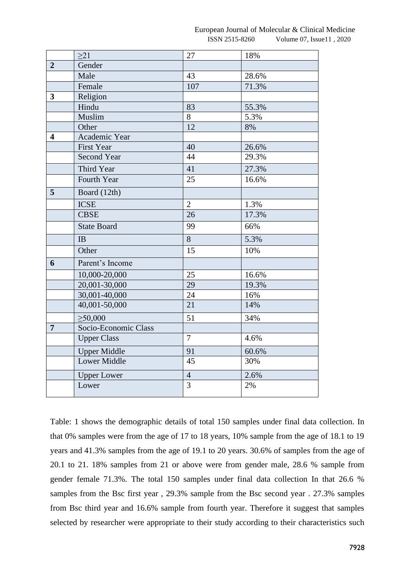|                         | $\geq$ 21            | 27             | 18%   |
|-------------------------|----------------------|----------------|-------|
| $\overline{2}$          | Gender               |                |       |
|                         | Male                 | 43             | 28.6% |
|                         | Female               | 107            | 71.3% |
| $\overline{\mathbf{3}}$ | Religion             |                |       |
|                         | Hindu                | 83             | 55.3% |
|                         | Muslim               | 8              | 5.3%  |
|                         | Other                | 12             | 8%    |
| $\overline{\mathbf{4}}$ | Academic Year        |                |       |
|                         | <b>First Year</b>    | 40             | 26.6% |
|                         | <b>Second Year</b>   | 44             | 29.3% |
|                         | Third Year           | 41             | 27.3% |
|                         | Fourth Year          | 25             | 16.6% |
| 5                       | Board (12th)         |                |       |
|                         | <b>ICSE</b>          | $\mathbf{2}$   | 1.3%  |
|                         | <b>CBSE</b>          | 26             | 17.3% |
|                         | <b>State Board</b>   | 99             | 66%   |
|                         | IB                   | 8              | 5.3%  |
|                         | Other                | 15             | 10%   |
| 6                       | Parent's Income      |                |       |
|                         | 10,000-20,000        | 25             | 16.6% |
|                         | 20,001-30,000        | 29             | 19.3% |
|                         | 30,001-40,000        | 24             | 16%   |
|                         | 40,001-50,000        | 21             | 14%   |
|                         | $\geq 50,000$        | 51             | 34%   |
| $\overline{7}$          | Socio-Economic Class |                |       |
|                         | <b>Upper Class</b>   | $\overline{7}$ | 4.6%  |
|                         | <b>Upper Middle</b>  | 91             | 60.6% |
|                         | Lower Middle         | 45             | 30%   |
|                         | <b>Upper Lower</b>   | $\overline{4}$ | 2.6%  |
|                         | Lower                | 3              | 2%    |

Table: 1 shows the demographic details of total 150 samples under final data collection. In that 0% samples were from the age of 17 to 18 years, 10% sample from the age of 18.1 to 19 years and 41.3% samples from the age of 19.1 to 20 years. 30.6% of samples from the age of 20.1 to 21. 18% samples from 21 or above were from gender male, 28.6 % sample from gender female 71.3%. The total 150 samples under final data collection In that 26.6 % samples from the Bsc first year , 29.3% sample from the Bsc second year . 27.3% samples from Bsc third year and 16.6% sample from fourth year. Therefore it suggest that samples selected by researcher were appropriate to their study according to their characteristics such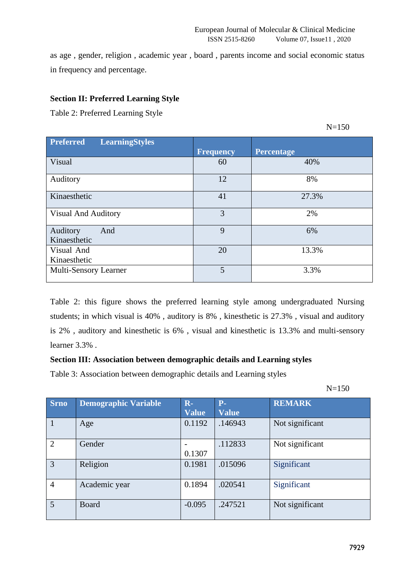as age , gender, religion , academic year , board , parents income and social economic status in frequency and percentage.

## **Section II: Preferred Learning Style**

Table 2: Preferred Learning Style

 $N=150$ 

| <b>Preferred</b><br><b>LearningStyles</b> | <b>Frequency</b> | <b>Percentage</b> |
|-------------------------------------------|------------------|-------------------|
| Visual                                    | 60               | 40%               |
| Auditory                                  | 12               | 8%                |
| Kinaesthetic                              | 41               | 27.3%             |
| <b>Visual And Auditory</b>                | 3                | 2%                |
| And<br>Auditory<br>Kinaesthetic           | 9                | 6%                |
| Visual And<br>Kinaesthetic                | 20               | 13.3%             |
| Multi-Sensory Learner                     | 5                | 3.3%              |

Table 2: this figure shows the preferred learning style among undergraduated Nursing students; in which visual is 40% , auditory is 8% , kinesthetic is 27.3% , visual and auditory is 2% , auditory and kinesthetic is 6% , visual and kinesthetic is 13.3% and multi-sensory learner 3.3% .

# **Section III: Association between demographic details and Learning styles**

Table 3: Association between demographic details and Learning styles

N=150

| <b>Srno</b>    | <b>Demographic Variable</b> | $R -$        | $P-$         | <b>REMARK</b>   |
|----------------|-----------------------------|--------------|--------------|-----------------|
|                |                             | <b>Value</b> | <b>Value</b> |                 |
| $\mathbf{1}$   | Age                         | 0.1192       | .146943      | Not significant |
| $\overline{2}$ | Gender                      |              | .112833      | Not significant |
|                |                             | 0.1307       |              |                 |
| 3              | Religion                    | 0.1981       | .015096      | Significant     |
| $\overline{4}$ | Academic year               | 0.1894       | .020541      | Significant     |
| $\overline{5}$ | Board                       | $-0.095$     | .247521      | Not significant |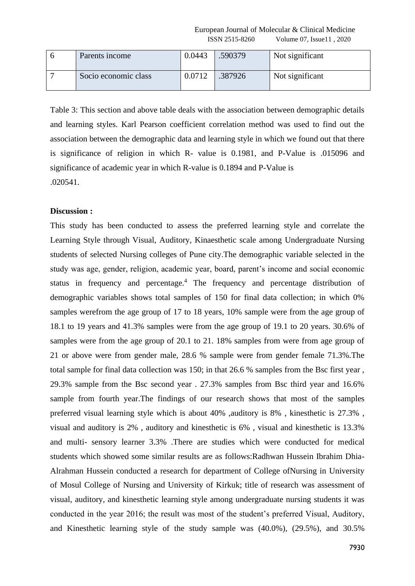European Journal of Molecular & Clinical Medicine ISSN 2515-8260 Volume 07, Issue11 , 2020

| - h | Parents income       | 0.0443 | .590379 | Not significant |
|-----|----------------------|--------|---------|-----------------|
|     | Socio economic class | 0.0712 | .387926 | Not significant |

Table 3: This section and above table deals with the association between demographic details and learning styles. Karl Pearson coefficient correlation method was used to find out the association between the demographic data and learning style in which we found out that there is significance of religion in which R- value is 0.1981, and P-Value is .015096 and significance of academic year in which R-value is 0.1894 and P-Value is .020541.

#### **Discussion :**

This study has been conducted to assess the preferred learning style and correlate the Learning Style through Visual, Auditory, Kinaesthetic scale among Undergraduate Nursing students of selected Nursing colleges of Pune city.The demographic variable selected in the study was age, gender, religion, academic year, board, parent's income and social economic status in frequency and percentage.<sup>4</sup> The frequency and percentage distribution of demographic variables shows total samples of 150 for final data collection; in which 0% samples werefrom the age group of 17 to 18 years, 10% sample were from the age group of 18.1 to 19 years and 41.3% samples were from the age group of 19.1 to 20 years. 30.6% of samples were from the age group of 20.1 to 21. 18% samples from were from age group of 21 or above were from gender male, 28.6 % sample were from gender female 71.3%.The total sample for final data collection was 150; in that 26.6 % samples from the Bsc first year , 29.3% sample from the Bsc second year . 27.3% samples from Bsc third year and 16.6% sample from fourth year.The findings of our research shows that most of the samples preferred visual learning style which is about 40% , auditory is 8%, kinesthetic is 27.3%, visual and auditory is 2% , auditory and kinesthetic is 6% , visual and kinesthetic is 13.3% and multi- sensory learner 3.3% .There are studies which were conducted for medical students which showed some similar results are as follows:Radhwan Hussein Ibrahim Dhia-Alrahman Hussein conducted a research for department of College ofNursing in University of Mosul College of Nursing and University of Kirkuk; title of research was assessment of visual, auditory, and kinesthetic learning style among undergraduate nursing students it was conducted in the year 2016; the result was most of the student's preferred Visual, Auditory, and Kinesthetic learning style of the study sample was (40.0%), (29.5%), and 30.5%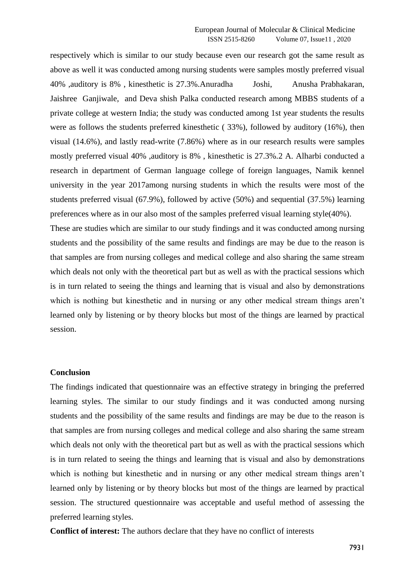respectively which is similar to our study because even our research got the same result as above as well it was conducted among nursing students were samples mostly preferred visual 40% ,auditory is 8% , kinesthetic is 27.3%.Anuradha Joshi, Anusha Prabhakaran, Jaishree Ganjiwale, and Deva shish Palka conducted research among MBBS students of a private college at western India; the study was conducted among 1st year students the results were as follows the students preferred kinesthetic ( 33%), followed by auditory (16%), then visual (14.6%), and lastly read-write (7.86%) where as in our research results were samples mostly preferred visual 40% ,auditory is 8%, kinesthetic is 27.3%.2 A. Alharbi conducted a research in department of German language college of foreign languages, Namik kennel university in the year 2017among nursing students in which the results were most of the students preferred visual (67.9%), followed by active (50%) and sequential (37.5%) learning preferences where as in our also most of the samples preferred visual learning style(40%).

These are studies which are similar to our study findings and it was conducted among nursing students and the possibility of the same results and findings are may be due to the reason is that samples are from nursing colleges and medical college and also sharing the same stream which deals not only with the theoretical part but as well as with the practical sessions which is in turn related to seeing the things and learning that is visual and also by demonstrations which is nothing but kinesthetic and in nursing or any other medical stream things aren't learned only by listening or by theory blocks but most of the things are learned by practical session.

#### **Conclusion**

The findings indicated that questionnaire was an effective strategy in bringing the preferred learning styles. The similar to our study findings and it was conducted among nursing students and the possibility of the same results and findings are may be due to the reason is that samples are from nursing colleges and medical college and also sharing the same stream which deals not only with the theoretical part but as well as with the practical sessions which is in turn related to seeing the things and learning that is visual and also by demonstrations which is nothing but kinesthetic and in nursing or any other medical stream things aren't learned only by listening or by theory blocks but most of the things are learned by practical session. The structured questionnaire was acceptable and useful method of assessing the preferred learning styles.

**Conflict of interest:** The authors declare that they have no conflict of interests